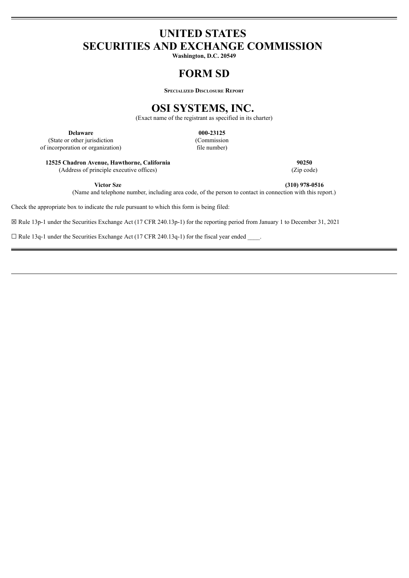# **UNITED STATES SECURITIES AND EXCHANGE COMMISSION**

**Washington, D.C. 20549**

# **FORM SD**

**Specialized Disclosure Report**

# **OSI SYSTEMS, INC.**

(Exact name of the registrant as specified in its charter)

**Delaware 000-23125** (State or other jurisdiction (Commission incorporation or organization) file number) of incorporation or organization)

**12525 Chadron Avenue, Hawthorne, California 90250** (Address of principle executive offices) (Zip code)

**Victor Sze (310) 978-0516**

(Name and telephone number, including area code, of the person to contact in connection with this report.)

Check the appropriate box to indicate the rule pursuant to which this form is being filed:

☒ Rule 13p-1 under the Securities Exchange Act (17 CFR 240.13p-1) for the reporting period from January 1 to December 31, 2021

 $\Box$  Rule 13q-1 under the Securities Exchange Act (17 CFR 240.13q-1) for the fiscal year ended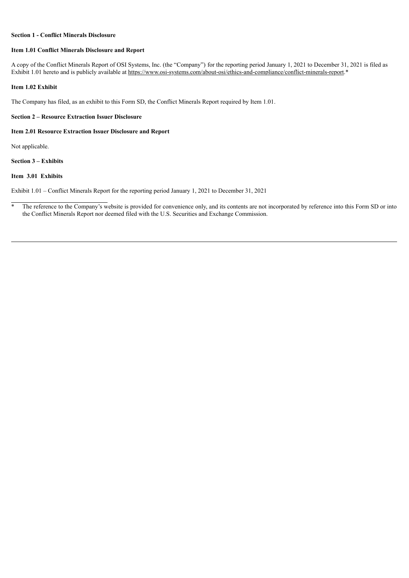## **Section 1 - Conflict Minerals Disclosure**

## **Item 1.01 Conflict Minerals Disclosure and Report**

A copy of the Conflict Minerals Report of OSI Systems, Inc. (the "Company") for the reporting period January 1, 2021 to December 31, 2021 is filed as Exhibit 1.01 hereto and is publicly available at https://www.osi-systems.com/about-osi/ethics-and-compliance/conflict-minerals-report.\*

# **Item 1.02 Exhibit**

The Company has filed, as an exhibit to this Form SD, the Conflict Minerals Report required by Item 1.01.

# **Section 2 – Resource Extraction Issuer Disclosure**

# **Item 2.01 Resource Extraction Issuer Disclosure and Report**

Not applicable.

**Section 3 – Exhibits**

# **Item 3.01 Exhibits**

Exhibit 1.01 – Conflict Minerals Report for the reporting period January 1, 2021 to December 31, 2021

<sup>\*</sup> The reference to the Company's website is provided for convenience only, and its contents are not incorporated by reference into this Form SD or into the Conflict Minerals Report nor deemed filed with the U.S. Securities and Exchange Commission.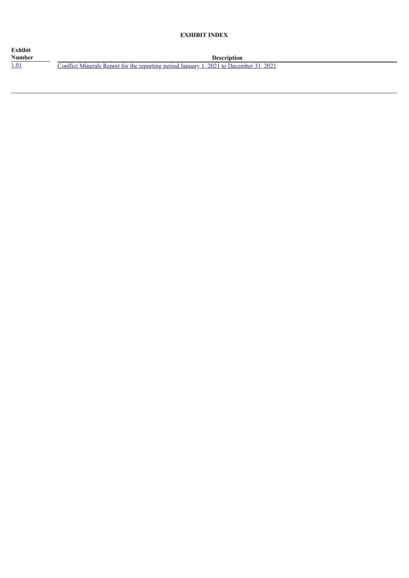# **EXHIBIT INDEX**

| Exhibit       |                                                                                        |
|---------------|----------------------------------------------------------------------------------------|
| <b>Number</b> | <b>Description</b>                                                                     |
|               | Conflict Minerals Report for the reporting period January 1, 2021 to December 31, 2021 |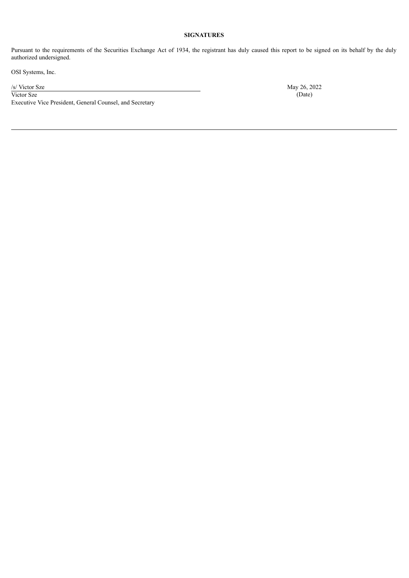# **SIGNATURES**

Pursuant to the requirements of the Securities Exchange Act of 1934, the registrant has duly caused this report to be signed on its behalf by the duly authorized undersigned.

OSI Systems, Inc.

Victor Sze (Date) Executive Vice President, General Counsel, and Secretary

/s/ Victor Sze May 26, 2022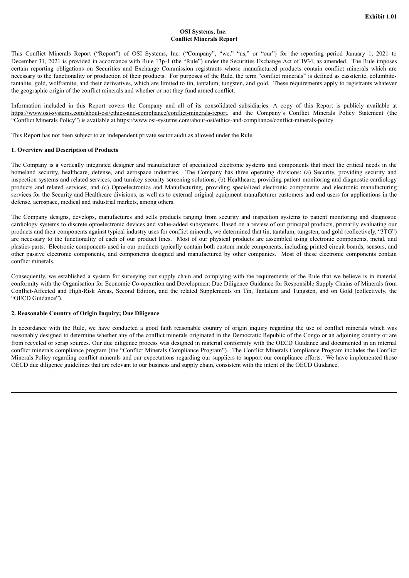# **OSI Systems, Inc. Conflict Minerals Report**

<span id="page-4-0"></span>This Conflict Minerals Report ("Report") of OSI Systems, Inc. ("Company", "we," "us," or "our") for the reporting period January 1, 2021 to December 31, 2021 is provided in accordance with Rule 13p-1 (the "Rule") under the Securities Exchange Act of 1934, as amended. The Rule imposes certain reporting obligations on Securities and Exchange Commission registrants whose manufactured products contain conflict minerals which are necessary to the functionality or production of their products. For purposes of the Rule, the term "conflict minerals" is defined as cassiterite, columbitetantalite, gold, wolframite, and their derivatives, which are limited to tin, tantalum, tungsten, and gold. These requirements apply to registrants whatever the geographic origin of the conflict minerals and whether or not they fund armed conflict.

Information included in this Report covers the Company and all of its consolidated subsidiaries. A copy of this Report is publicly available at https://www.osi-systems.com/about-osi/ethics-and-compliance/conflict-minerals-report, and the Company's Conflict Minerals Policy Statement (the "Conflict Minerals Policy") is available at https://www.osi-systems.com/about-osi/ethics-and-compliance/conflict-minerals-policy.

This Report has not been subject to an independent private sector audit as allowed under the Rule.

### **1. Overview and Description of Products**

The Company is a vertically integrated designer and manufacturer of specialized electronic systems and components that meet the critical needs in the homeland security, healthcare, defense, and aerospace industries. The Company has three operating divisions: (a) Security, providing security and inspection systems and related services, and turnkey security screening solutions; (b) Healthcare, providing patient monitoring and diagnostic cardiology products and related services; and (c) Optoelectronics and Manufacturing, providing specialized electronic components and electronic manufacturing services for the Security and Healthcare divisions, as well as to external original equipment manufacturer customers and end users for applications in the defense, aerospace, medical and industrial markets, among others.

The Company designs, develops, manufactures and sells products ranging from security and inspection systems to patient monitoring and diagnostic cardiology systems to discrete optoelectronic devices and value-added subsystems. Based on a review of our principal products, primarily evaluating our products and their components against typical industry uses for conflict minerals, we determined that tin, tantalum, tungsten, and gold (collectively, "3TG") are necessary to the functionality of each of our product lines. Most of our physical products are assembled using electronic components, metal, and plastics parts. Electronic components used in our products typically contain both custom made components, including printed circuit boards, sensors, and other passive electronic components, and components designed and manufactured by other companies. Most of these electronic components contain conflict minerals.

Consequently, we established a system for surveying our supply chain and complying with the requirements of the Rule that we believe is in material conformity with the Organisation for Economic Co-operation and Development Due Diligence Guidance for Responsible Supply Chains of Minerals from Conflict-Affected and High-Risk Areas, Second Edition, and the related Supplements on Tin, Tantalum and Tungsten, and on Gold (collectively, the "OECD Guidance").

### **2. Reasonable Country of Origin Inquiry; Due Diligence**

In accordance with the Rule, we have conducted a good faith reasonable country of origin inquiry regarding the use of conflict minerals which was reasonably designed to determine whether any of the conflict minerals originated in the Democratic Republic of the Congo or an adjoining country or are from recycled or scrap sources. Our due diligence process was designed in material conformity with the OECD Guidance and documented in an internal conflict minerals compliance program (the "Conflict Minerals Compliance Program"). The Conflict Minerals Compliance Program includes the Conflict Minerals Policy regarding conflict minerals and our expectations regarding our suppliers to support our compliance efforts. We have implemented those OECD due diligence guidelines that are relevant to our business and supply chain, consistent with the intent of the OECD Guidance.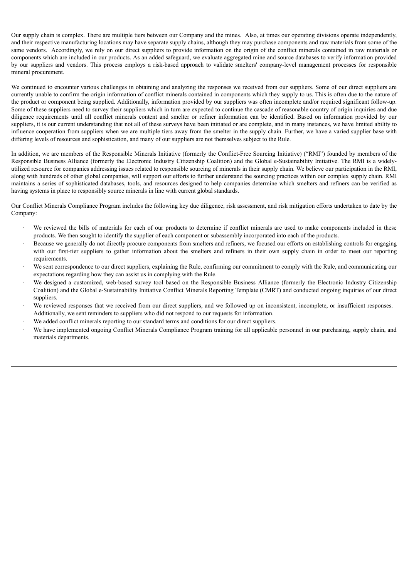Our supply chain is complex. There are multiple tiers between our Company and the mines. Also, at times our operating divisions operate independently, and their respective manufacturing locations may have separate supply chains, although they may purchase components and raw materials from some of the same vendors. Accordingly, we rely on our direct suppliers to provide information on the origin of the conflict minerals contained in raw materials or components which are included in our products. As an added safeguard, we evaluate aggregated mine and source databases to verify information provided by our suppliers and vendors. This process employs a risk-based approach to validate smelters' company-level management processes for responsible mineral procurement.

We continued to encounter various challenges in obtaining and analyzing the responses we received from our suppliers. Some of our direct suppliers are currently unable to confirm the origin information of conflict minerals contained in components which they supply to us. This is often due to the nature of the product or component being supplied. Additionally, information provided by our suppliers was often incomplete and/or required significant follow-up. Some of these suppliers need to survey their suppliers which in turn are expected to continue the cascade of reasonable country of origin inquiries and due diligence requirements until all conflict minerals content and smelter or refiner information can be identified. Based on information provided by our suppliers, it is our current understanding that not all of these surveys have been initiated or are complete, and in many instances, we have limited ability to influence cooperation from suppliers when we are multiple tiers away from the smelter in the supply chain. Further, we have a varied supplier base with differing levels of resources and sophistication, and many of our suppliers are not themselves subject to the Rule.

In addition, we are members of the Responsible Minerals Initiative (formerly the Conflict-Free Sourcing Initiative) ("RMI") founded by members of the Responsible Business Alliance (formerly the Electronic Industry Citizenship Coalition) and the Global e-Sustainability Initiative. The RMI is a widelyutilized resource for companies addressing issues related to responsible sourcing of minerals in their supply chain. We believe our participation in the RMI, along with hundreds of other global companies, will support our efforts to further understand the sourcing practices within our complex supply chain. RMI maintains a series of sophisticated databases, tools, and resources designed to help companies determine which smelters and refiners can be verified as having systems in place to responsibly source minerals in line with current global standards.

Our Conflict Minerals Compliance Program includes the following key due diligence, risk assessment, and risk mitigation efforts undertaken to date by the Company:

- We reviewed the bills of materials for each of our products to determine if conflict minerals are used to make components included in these products. We then sought to identify the supplier of each component or subassembly incorporated into each of the products.
- Because we generally do not directly procure components from smelters and refiners, we focused our efforts on establishing controls for engaging with our first-tier suppliers to gather information about the smelters and refiners in their own supply chain in order to meet our reporting requirements.
- We sent correspondence to our direct suppliers, explaining the Rule, confirming our commitment to comply with the Rule, and communicating our expectations regarding how they can assist us in complying with the Rule.
- We designed a customized, web-based survey tool based on the Responsible Business Alliance (formerly the Electronic Industry Citizenship Coalition) and the Global e-Sustainability Initiative Conflict Minerals Reporting Template (CMRT) and conducted ongoing inquiries of our direct suppliers.
- We reviewed responses that we received from our direct suppliers, and we followed up on inconsistent, incomplete, or insufficient responses. Additionally, we sent reminders to suppliers who did not respond to our requests for information.
- We added conflict minerals reporting to our standard terms and conditions for our direct suppliers.
- We have implemented ongoing Conflict Minerals Compliance Program training for all applicable personnel in our purchasing, supply chain, and materials departments.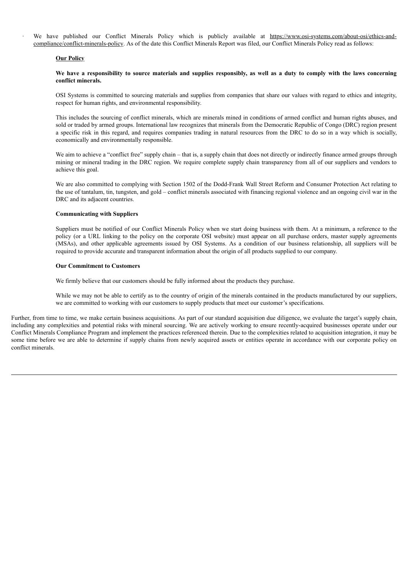We have published our Conflict Minerals Policy which is publicly available at https://www.osi-systems.com/about-osi/ethics-andcompliance/conflict-minerals-policy. As of the date this Conflict Minerals Report was filed, our Conflict Minerals Policy read as follows:

## **Our Policy**

## We have a responsibility to source materials and supplies responsibly, as well as a duty to comply with the laws concerning **conflict minerals.**

OSI Systems is committed to sourcing materials and supplies from companies that share our values with regard to ethics and integrity, respect for human rights, and environmental responsibility.

This includes the sourcing of conflict minerals, which are minerals mined in conditions of armed conflict and human rights abuses, and sold or traded by armed groups. International law recognizes that minerals from the Democratic Republic of Congo (DRC) region present a specific risk in this regard, and requires companies trading in natural resources from the DRC to do so in a way which is socially, economically and environmentally responsible.

We aim to achieve a "conflict free" supply chain – that is, a supply chain that does not directly or indirectly finance armed groups through mining or mineral trading in the DRC region. We require complete supply chain transparency from all of our suppliers and vendors to achieve this goal.

We are also committed to complying with Section 1502 of the Dodd-Frank Wall Street Reform and Consumer Protection Act relating to the use of tantalum, tin, tungsten, and gold – conflict minerals associated with financing regional violence and an ongoing civil war in the DRC and its adjacent countries.

#### **Communicating with Suppliers**

Suppliers must be notified of our Conflict Minerals Policy when we start doing business with them. At a minimum, a reference to the policy (or a URL linking to the policy on the corporate OSI website) must appear on all purchase orders, master supply agreements (MSAs), and other applicable agreements issued by OSI Systems. As a condition of our business relationship, all suppliers will be required to provide accurate and transparent information about the origin of all products supplied to our company.

## **Our Commitment to Customers**

We firmly believe that our customers should be fully informed about the products they purchase.

While we may not be able to certify as to the country of origin of the minerals contained in the products manufactured by our suppliers, we are committed to working with our customers to supply products that meet our customer's specifications.

Further, from time to time, we make certain business acquisitions. As part of our standard acquisition due diligence, we evaluate the target's supply chain, including any complexities and potential risks with mineral sourcing. We are actively working to ensure recently-acquired businesses operate under our Conflict Minerals Compliance Program and implement the practices referenced therein. Due to the complexities related to acquisition integration, it may be some time before we are able to determine if supply chains from newly acquired assets or entities operate in accordance with our corporate policy on conflict minerals.